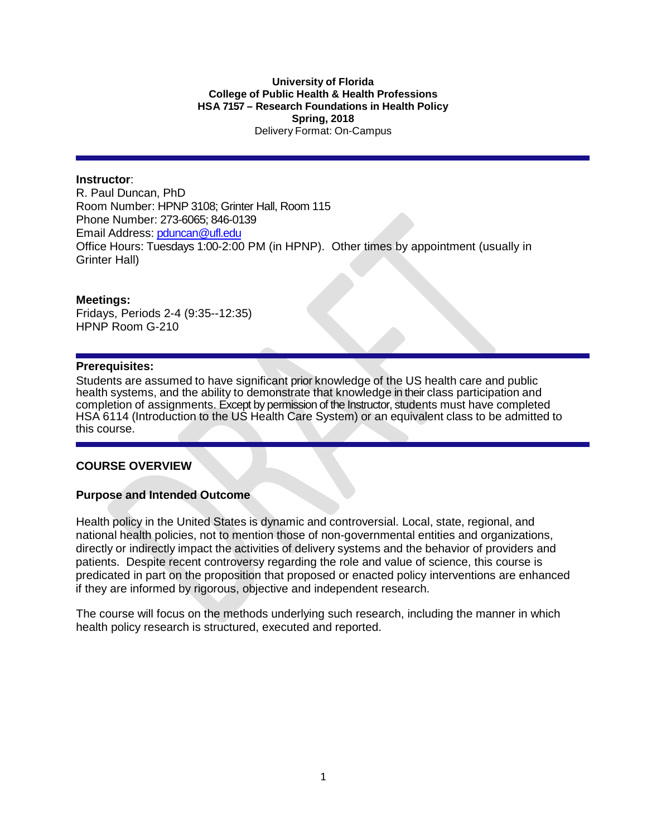#### **University of Florida College of Public Health & Health Professions HSA 7157 – Research Foundations in Health Policy Spring, 2018** Delivery Format: On-Campus

### **Instructor**:

R. Paul Duncan, PhD Room Number: HPNP 3108; Grinter Hall, Room 115 Phone Number: 273-6065; 846-0139 Email Address: [pduncan@ufl.edu](mailto:pduncan@ufl.edu) Office Hours: Tuesdays 1:00-2:00 PM (in HPNP). Other times by appointment (usually in Grinter Hall)

#### **Meetings:**

Fridays, Periods 2-4 (9:35--12:35) HPNP Room G-210

### **Prerequisites:**

Students are assumed to have significant prior knowledge of the US health care and public health systems, and the ability to demonstrate that knowledge in their class participation and completion of assignments. Except by permission of the Instructor, students must have completed HSA 6114 (Introduction to the US Health Care System) or an equivalent class to be admitted to this course.

### **COURSE OVERVIEW**

### **Purpose and Intended Outcome**

Health policy in the United States is dynamic and controversial. Local, state, regional, and national health policies, not to mention those of non-governmental entities and organizations, directly or indirectly impact the activities of delivery systems and the behavior of providers and patients. Despite recent controversy regarding the role and value of science, this course is predicated in part on the proposition that proposed or enacted policy interventions are enhanced if they are informed by rigorous, objective and independent research.

The course will focus on the methods underlying such research, including the manner in which health policy research is structured, executed and reported.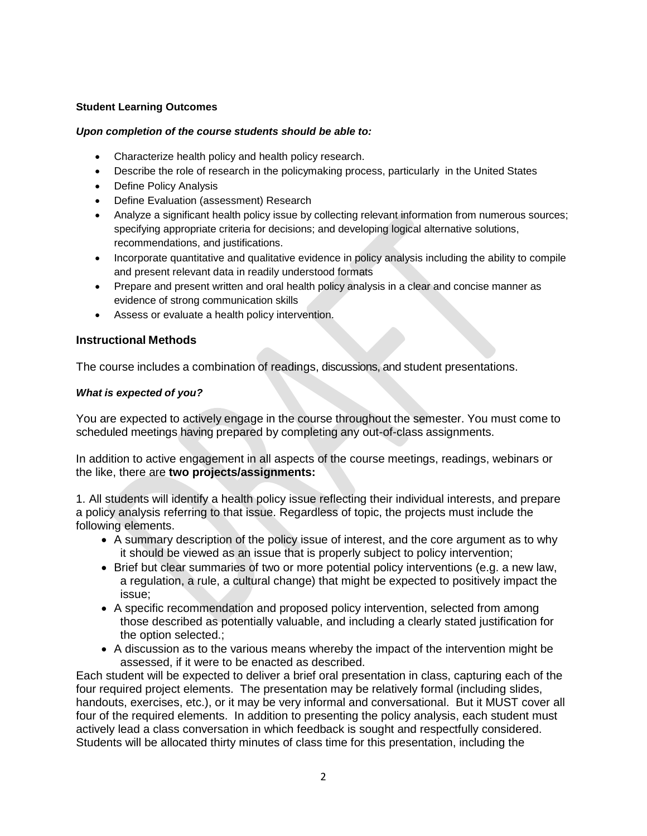### **Student Learning Outcomes**

#### *Upon completion of the course students should be able to:*

- Characterize health policy and health policy research.
- Describe the role of research in the policymaking process, particularly in the United States
- Define Policy Analysis
- Define Evaluation (assessment) Research
- Analyze a significant health policy issue by collecting relevant information from numerous sources; specifying appropriate criteria for decisions; and developing logical alternative solutions, recommendations, and justifications.
- Incorporate quantitative and qualitative evidence in policy analysis including the ability to compile and present relevant data in readily understood formats
- Prepare and present written and oral health policy analysis in a clear and concise manner as evidence of strong communication skills
- Assess or evaluate a health policy intervention.

## **Instructional Methods**

The course includes a combination of readings, discussions, and student presentations.

### *What is expected of you?*

You are expected to actively engage in the course throughout the semester. You must come to scheduled meetings having prepared by completing any out-of-class assignments.

In addition to active engagement in all aspects of the course meetings, readings, webinars or the like, there are **two projects/assignments:**

1. All students will identify a health policy issue reflecting their individual interests, and prepare a policy analysis referring to that issue. Regardless of topic, the projects must include the following elements.

- A summary description of the policy issue of interest, and the core argument as to why it should be viewed as an issue that is properly subject to policy intervention;
- Brief but clear summaries of two or more potential policy interventions (e.g. a new law, a regulation, a rule, a cultural change) that might be expected to positively impact the issue;
- A specific recommendation and proposed policy intervention, selected from among those described as potentially valuable, and including a clearly stated justification for the option selected.;
- A discussion as to the various means whereby the impact of the intervention might be assessed, if it were to be enacted as described.

Each student will be expected to deliver a brief oral presentation in class, capturing each of the four required project elements. The presentation may be relatively formal (including slides, handouts, exercises, etc.), or it may be very informal and conversational. But it MUST cover all four of the required elements. In addition to presenting the policy analysis, each student must actively lead a class conversation in which feedback is sought and respectfully considered. Students will be allocated thirty minutes of class time for this presentation, including the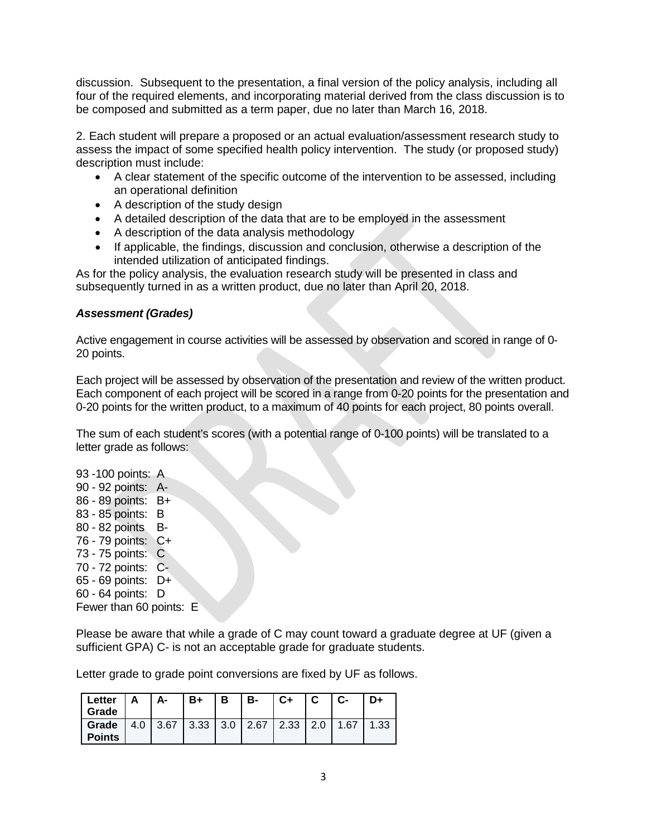discussion. Subsequent to the presentation, a final version of the policy analysis, including all four of the required elements, and incorporating material derived from the class discussion is to be composed and submitted as a term paper, due no later than March 16, 2018.

2. Each student will prepare a proposed or an actual evaluation/assessment research study to assess the impact of some specified health policy intervention. The study (or proposed study) description must include:

- A clear statement of the specific outcome of the intervention to be assessed, including an operational definition
- A description of the study design
- A detailed description of the data that are to be employed in the assessment
- A description of the data analysis methodology
- If applicable, the findings, discussion and conclusion, otherwise a description of the intended utilization of anticipated findings.

As for the policy analysis, the evaluation research study will be presented in class and subsequently turned in as a written product, due no later than April 20, 2018.

# *Assessment (Grades)*

Active engagement in course activities will be assessed by observation and scored in range of 0- 20 points.

Each project will be assessed by observation of the presentation and review of the written product. Each component of each project will be scored in a range from 0-20 points for the presentation and 0-20 points for the written product, to a maximum of 40 points for each project, 80 points overall.

The sum of each student's scores (with a potential range of 0-100 points) will be translated to a letter grade as follows:

93 -100 points: A 90 - 92 points: A-86 - 89 points: B+ 83 - 85 points: B 80 - 82 points B-76 - 79 points: C+ 73 - 75 points: C 70 - 72 points: C-65 - 69 points: D+ 60 - 64 points: D Fewer than 60 points: E

Please be aware that while a grade of C may count toward a graduate degree at UF (given a sufficient GPA) C- is not an acceptable grade for graduate students.

Letter grade to grade point conversions are fixed by UF as follows.

| Letter   A   A-<br>Grade                                                           |  | - B+ | I B | I B- | $ C+ C $ $ C-$ |  | ! D+ |
|------------------------------------------------------------------------------------|--|------|-----|------|----------------|--|------|
| Grade   4.0   3.67   3.33   3.0   2.67   2.33   2.0   1.67   1.33<br><b>Points</b> |  |      |     |      |                |  |      |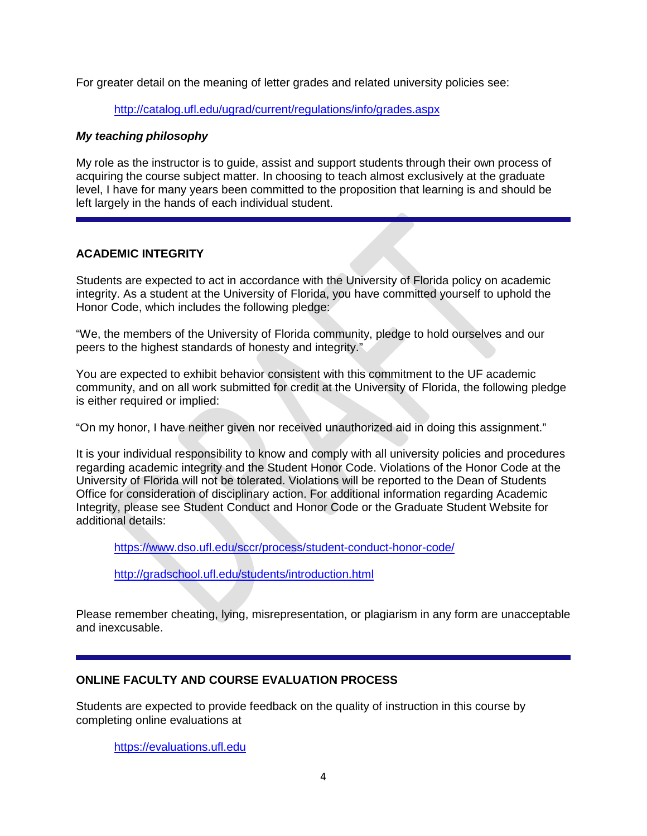For greater detail on the meaning of letter grades and related university policies see:

## <http://catalog.ufl.edu/ugrad/current/regulations/info/grades.aspx>

## *My teaching philosophy*

My role as the instructor is to guide, assist and support students through their own process of acquiring the course subject matter. In choosing to teach almost exclusively at the graduate level, I have for many years been committed to the proposition that learning is and should be left largely in the hands of each individual student.

# **ACADEMIC INTEGRITY**

Students are expected to act in accordance with the University of Florida policy on academic integrity. As a student at the University of Florida, you have committed yourself to uphold the Honor Code, which includes the following pledge:

"We, the members of the University of Florida community, pledge to hold ourselves and our peers to the highest standards of honesty and integrity."

You are expected to exhibit behavior consistent with this commitment to the UF academic community, and on all work submitted for credit at the University of Florida, the following pledge is either required or implied:

"On my honor, I have neither given nor received unauthorized aid in doing this assignment."

It is your individual responsibility to know and comply with all university policies and procedures regarding academic integrity and the Student Honor Code. Violations of the Honor Code at the University of Florida will not be tolerated. Violations will be reported to the Dean of Students Office for consideration of disciplinary action. For additional information regarding Academic Integrity, please see Student Conduct and Honor Code or the Graduate Student Website for additional details:

<https://www.dso.ufl.edu/sccr/process/student-conduct-honor-code/>

<http://gradschool.ufl.edu/students/introduction.html>

Please remember cheating, lying, misrepresentation, or plagiarism in any form are unacceptable and inexcusable.

# **ONLINE FACULTY AND COURSE EVALUATION PROCESS**

Students are expected to provide feedback on the quality of instruction in this course by completing online evaluations at

[https://evaluations.ufl.edu](https://evaluations.ufl.edu/)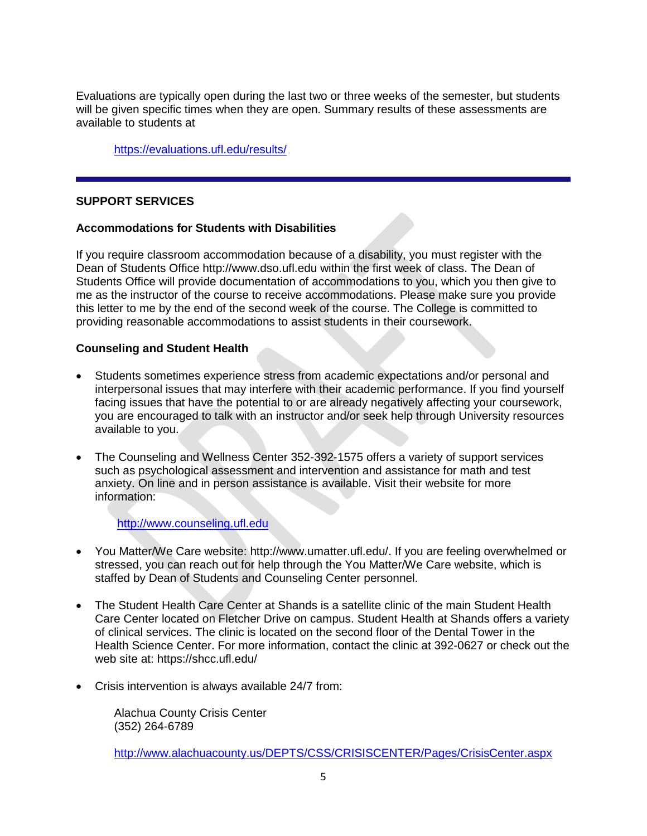Evaluations are typically open during the last two or three weeks of the semester, but students will be given specific times when they are open. Summary results of these assessments are available to students at

<https://evaluations.ufl.edu/results/>

## **SUPPORT SERVICES**

## **Accommodations for Students with Disabilities**

If you require classroom accommodation because of a disability, you must register with the Dean of Students Office http://www.dso.ufl.edu within the first week of class. The Dean of Students Office will provide documentation of accommodations to you, which you then give to me as the instructor of the course to receive accommodations. Please make sure you provide this letter to me by the end of the second week of the course. The College is committed to providing reasonable accommodations to assist students in their coursework.

### **Counseling and Student Health**

- Students sometimes experience stress from academic expectations and/or personal and interpersonal issues that may interfere with their academic performance. If you find yourself facing issues that have the potential to or are already negatively affecting your coursework, you are encouraged to talk with an instructor and/or seek help through University resources available to you.
- The Counseling and Wellness Center 352-392-1575 offers a variety of support services such as psychological assessment and intervention and assistance for math and test anxiety. On line and in person assistance is available. Visit their website for more information:

[http://www.counseling.ufl.edu](http://www.counseling.ufl.edu/)

- You Matter/We Care website: http://www.umatter.ufl.edu/. If you are feeling overwhelmed or stressed, you can reach out for help through the You Matter/We Care website, which is staffed by Dean of Students and Counseling Center personnel.
- The Student Health Care Center at Shands is a satellite clinic of the main Student Health Care Center located on Fletcher Drive on campus. Student Health at Shands offers a variety of clinical services. The clinic is located on the second floor of the Dental Tower in the Health Science Center. For more information, contact the clinic at 392-0627 or check out the web site at: https://shcc.ufl.edu/
- Crisis intervention is always available 24/7 from:

Alachua County Crisis Center (352) 264-6789

<http://www.alachuacounty.us/DEPTS/CSS/CRISISCENTER/Pages/CrisisCenter.aspx>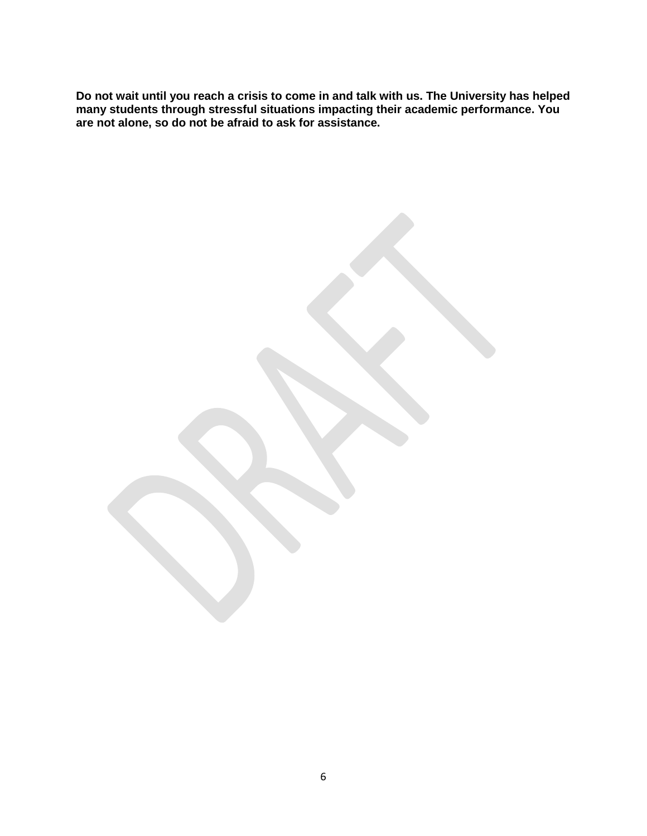**Do not wait until you reach a crisis to come in and talk with us. The University has helped many students through stressful situations impacting their academic performance. You are not alone, so do not be afraid to ask for assistance.**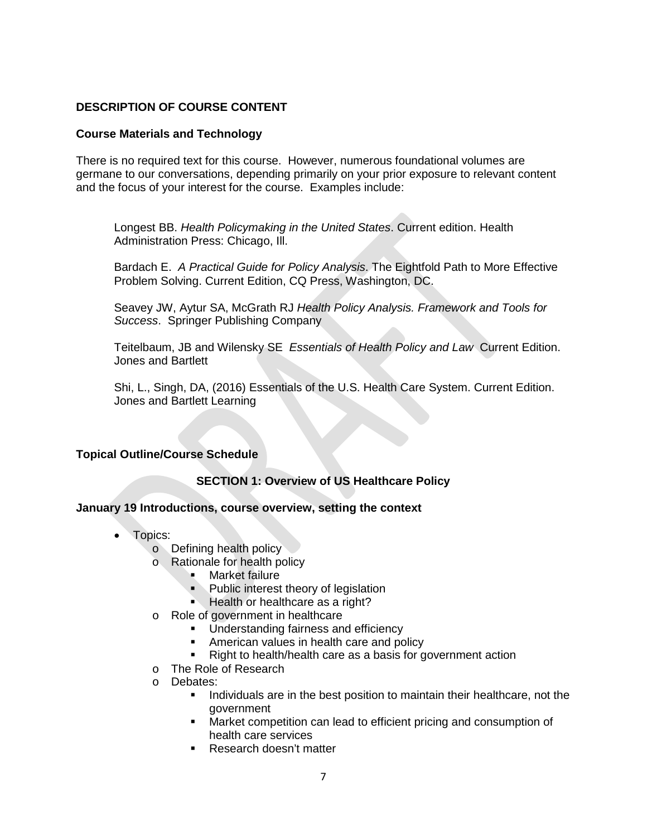# **DESCRIPTION OF COURSE CONTENT**

# **Course Materials and Technology**

There is no required text for this course. However, numerous foundational volumes are germane to our conversations, depending primarily on your prior exposure to relevant content and the focus of your interest for the course. Examples include:

Longest BB. *Health Policymaking in the United States*. Current edition. Health Administration Press: Chicago, Ill.

Bardach E. *A Practical Guide for Policy Analysis*. The Eightfold Path to More Effective Problem Solving. Current Edition, CQ Press, Washington, DC.

Seavey JW, Aytur SA, McGrath RJ *Health Policy Analysis. Framework and Tools for Success*. Springer Publishing Company

Teitelbaum, JB and Wilensky SE *Essentials of Health Policy and Law* Current Edition. Jones and Bartlett

Shi, L., Singh, DA, (2016) Essentials of the U.S. Health Care System. Current Edition. Jones and Bartlett Learning

# **Topical Outline/Course Schedule**

**SECTION 1: Overview of US Healthcare Policy**

# **January 19 Introductions, course overview, setting the context**

- Topics:
	- o Defining health policy
	- o Rationale for health policy
		- **Market failure**
		- Public interest theory of legislation
		- Health or healthcare as a right?
	- o Role of government in healthcare
		- **Understanding fairness and efficiency**
		- **American values in health care and policy**
		- Right to health/health care as a basis for government action
	- o The Role of Research
	- o Debates:
		- Individuals are in the best position to maintain their healthcare, not the government
		- Market competition can lead to efficient pricing and consumption of health care services
		- **Research doesn't matter**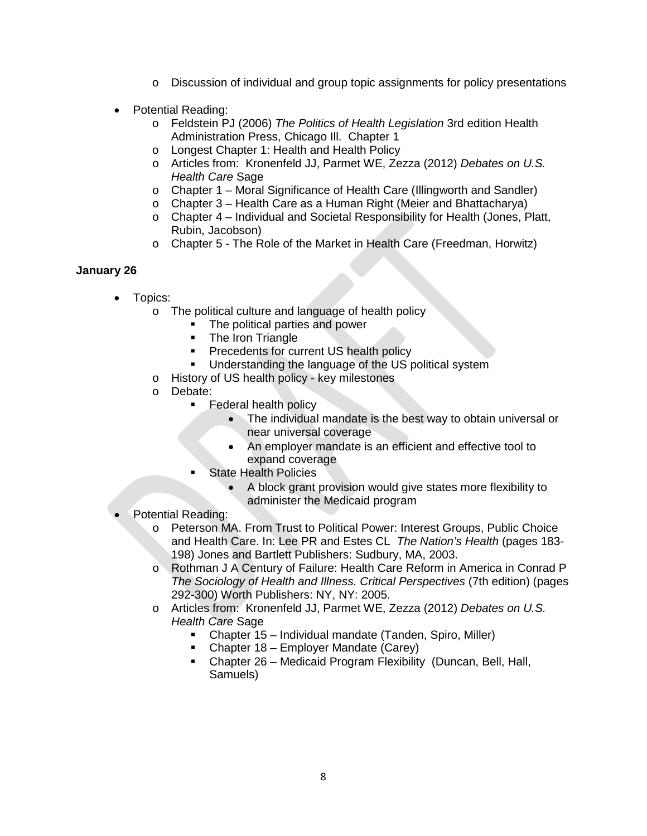- o Discussion of individual and group topic assignments for policy presentations
- Potential Reading:
	- o Feldstein PJ (2006) *The Politics of Health Legislation* 3rd edition Health Administration Press, Chicago Ill. Chapter 1
	- o Longest Chapter 1: Health and Health Policy
	- o Articles from: Kronenfeld JJ, Parmet WE, Zezza (2012) *Debates on U.S. Health Care* Sage
	- o Chapter 1 Moral Significance of Health Care (Illingworth and Sandler)
	- o Chapter 3 Health Care as a Human Right (Meier and Bhattacharya)
	- o Chapter 4 Individual and Societal Responsibility for Health (Jones, Platt, Rubin, Jacobson)
	- o Chapter 5 The Role of the Market in Health Care (Freedman, Horwitz)

# **January 26**

- Topics:
	- o The political culture and language of health policy
		- **The political parties and power**
		- The Iron Triangle
		- **Precedents for current US health policy**
		- **Understanding the language of the US political system**
	- o History of US health policy key milestones
	- o Debate:
		- Federal health policy
			- The individual mandate is the best way to obtain universal or near universal coverage
			- An employer mandate is an efficient and effective tool to expand coverage
		- State Health Policies
			- A block grant provision would give states more flexibility to administer the Medicaid program
- Potential Reading:
	- o Peterson MA. From Trust to Political Power: Interest Groups, Public Choice and Health Care. In: Lee PR and Estes CL *The Nation's Health* (pages 183- 198) Jones and Bartlett Publishers: Sudbury, MA, 2003.
	- o Rothman J A Century of Failure: Health Care Reform in America in Conrad P *The Sociology of Health and Illness. Critical Perspectives* (7th edition) (pages 292-300) Worth Publishers: NY, NY: 2005.
	- o Articles from: Kronenfeld JJ, Parmet WE, Zezza (2012) *Debates on U.S. Health Care* Sage
		- Chapter 15 Individual mandate (Tanden, Spiro, Miller)
		- Chapter 18 Employer Mandate (Carey)
		- Chapter 26 Medicaid Program Flexibility (Duncan, Bell, Hall, Samuels)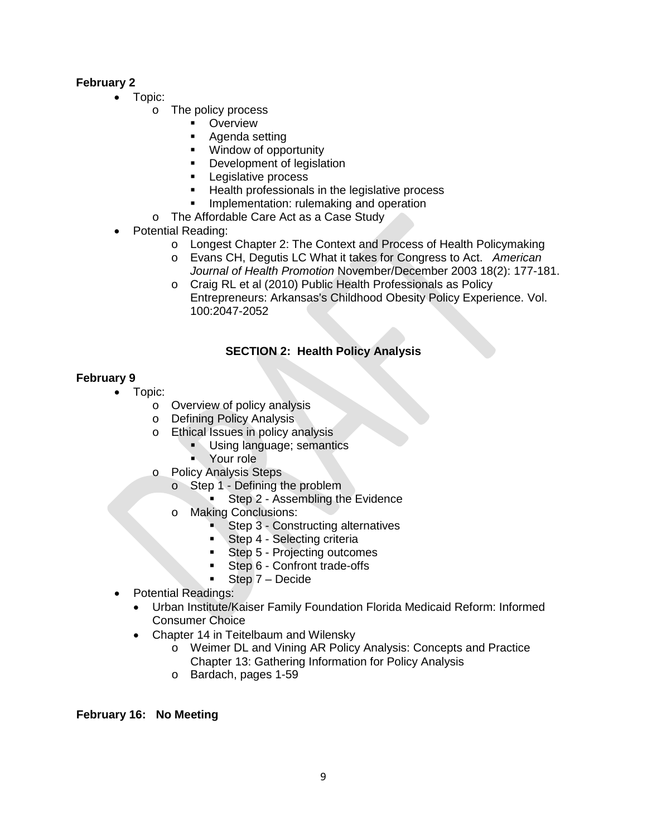# **February 2**

- Topic:
	- o The policy process
		- **•** Overview
		- Agenda setting
		- **Window of opportunity**
		- Development of legislation
		- Legislative process
		- Health professionals in the legislative process
		- **Implementation: rulemaking and operation**
		- o The Affordable Care Act as a Case Study
- Potential Reading:
	- o Longest Chapter 2: The Context and Process of Health Policymaking
	- o Evans CH, Degutis LC What it takes for Congress to Act. *American Journal of Health Promotion* November/December 2003 18(2): 177-181.
	- o Craig RL et al (2010) Public Health Professionals as Policy Entrepreneurs: Arkansas's Childhood Obesity Policy Experience. Vol. 100:2047-2052

# **SECTION 2: Health Policy Analysis**

# **February 9**

- Topic:
	- o Overview of policy analysis<br>
	o Defining Policy Analysis
	- o Defining Policy Analysis<br>o Ethical Issues in policy a
		- Ethical Issues in policy analysis
			- Using language; semantics
				- **Nour role**
	- o Policy Analysis Steps
		- o Step 1 Defining the problem
			- Step 2 Assembling the Evidence
		- o Making Conclusions:
			- Step 3 Constructing alternatives
			- Step 4 Selecting criteria
			- Step 5 Projecting outcomes
			- Step 6 Confront trade-offs
			- Step 7 Decide
- Potential Readings:
	- Urban Institute/Kaiser Family Foundation Florida Medicaid Reform: Informed Consumer Choice
	- Chapter 14 in Teitelbaum and Wilensky
		- o Weimer DL and Vining AR Policy Analysis: Concepts and Practice Chapter 13: Gathering Information for Policy Analysis
		- o Bardach, pages 1-59

# **February 16: No Meeting**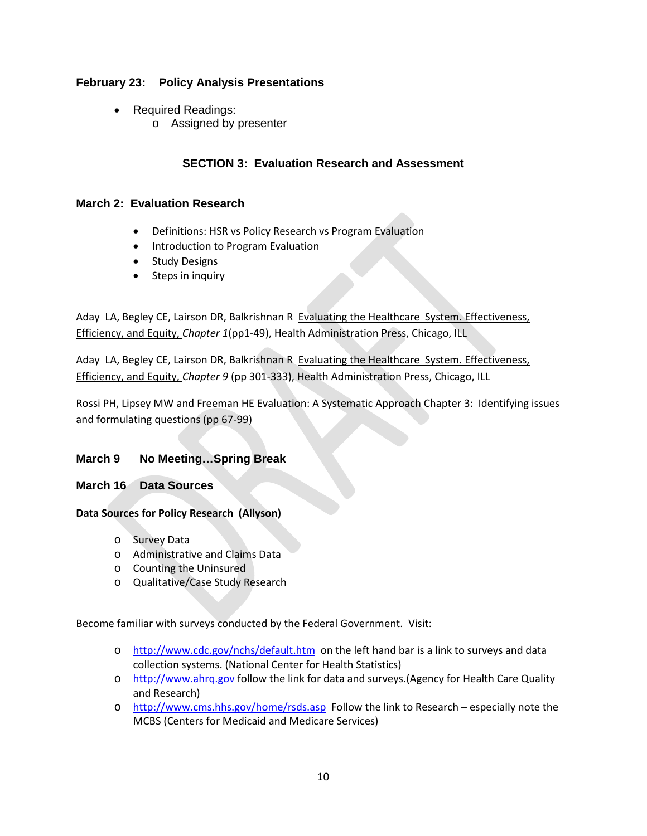# **February 23: Policy Analysis Presentations**

- Required Readings:
	- o Assigned by presenter

# **SECTION 3: Evaluation Research and Assessment**

# **March 2: Evaluation Research**

- Definitions: HSR vs Policy Research vs Program Evaluation
- Introduction to Program Evaluation
- Study Designs
- Steps in inquiry

Aday LA, Begley CE, Lairson DR, Balkrishnan R Evaluating the Healthcare System. Effectiveness, Efficiency, and Equity, *Chapter 1*(pp1-49), Health Administration Press, Chicago, ILL

Aday LA, Begley CE, Lairson DR, Balkrishnan R Evaluating the Healthcare System. Effectiveness, Efficiency, and Equity, *Chapter 9* (pp 301-333), Health Administration Press, Chicago, ILL

Rossi PH, Lipsey MW and Freeman HE Evaluation: A Systematic Approach Chapter 3: Identifying issues and formulating questions (pp 67-99)

# **March 9 No Meeting…Spring Break**

### **March 16 Data Sources**

### **Data Sources for Policy Research (Allyson)**

- o Survey Data
- o Administrative and Claims Data
- o Counting the Uninsured
- o Qualitative/Case Study Research

Become familiar with surveys conducted by the Federal Government. Visit:

- o <http://www.cdc.gov/nchs/default.htm>on the left hand bar is a link to surveys and data collection systems. (National Center for Health Statistics)
- o [http://www.ahrq.gov](http://www.ahrq.gov/) follow the link for data and surveys.(Agency for Health Care Quality and Research)
- o <http://www.cms.hhs.gov/home/rsds.asp>Follow the link to Research especially note the MCBS (Centers for Medicaid and Medicare Services)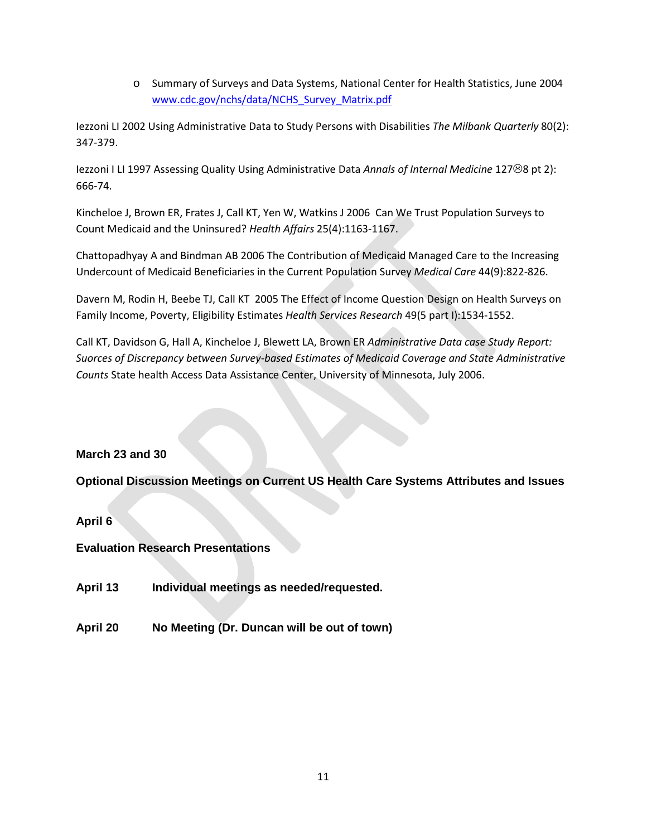o Summary of Surveys and Data Systems, National Center for Health Statistics, June 2004 [www.cdc.gov/nchs/data/NCHS\\_Survey\\_Matrix.pdf](http://www.cdc.gov/nchs/data/NCHS_Survey_Matrix.pdf)

Iezzoni LI 2002 Using Administrative Data to Study Persons with Disabilities *The Milbank Quarterly* 80(2): 347-379.

Iezzoni I LI 1997 Assessing Quality Using Administrative Data *Annals of Internal Medicine* 127<sup>®</sup>8 pt 2): 666-74.

Kincheloe J, Brown ER, Frates J, Call KT, Yen W, Watkins J 2006 Can We Trust Population Surveys to Count Medicaid and the Uninsured? *Health Affairs* 25(4):1163-1167.

Chattopadhyay A and Bindman AB 2006 The Contribution of Medicaid Managed Care to the Increasing Undercount of Medicaid Beneficiaries in the Current Population Survey *Medical Care* 44(9):822-826.

Davern M, Rodin H, Beebe TJ, Call KT 2005 The Effect of Income Question Design on Health Surveys on Family Income, Poverty, Eligibility Estimates *Health Services Research* 49(5 part I):1534-1552.

Call KT, Davidson G, Hall A, Kincheloe J, Blewett LA, Brown ER *Administrative Data case Study Report: Suorces of Discrepancy between Survey-based Estimates of Medicaid Coverage and State Administrative Counts* State health Access Data Assistance Center, University of Minnesota, July 2006.

# **March 23 and 30**

**Optional Discussion Meetings on Current US Health Care Systems Attributes and Issues**

**April 6**

**Evaluation Research Presentations**

- **April 13 Individual meetings as needed/requested.**
- **April 20 No Meeting (Dr. Duncan will be out of town)**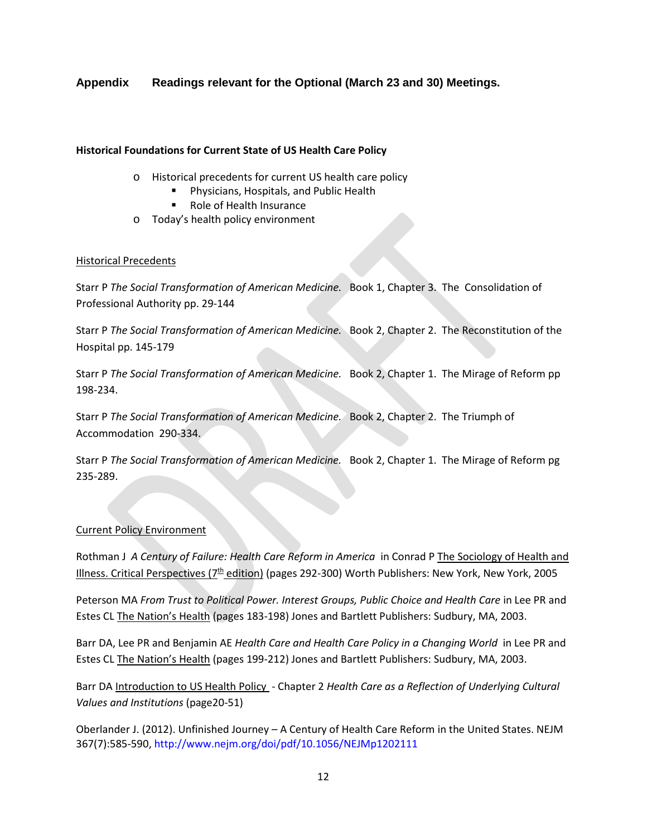# **Appendix Readings relevant for the Optional (March 23 and 30) Meetings.**

### **Historical Foundations for Current State of US Health Care Policy**

- o Historical precedents for current US health care policy
	- Physicians, Hospitals, and Public Health
	- Role of Health Insurance
- o Today's health policy environment

### Historical Precedents

Starr P *The Social Transformation of American Medicine.* Book 1, Chapter 3. The Consolidation of Professional Authority pp. 29-144

Starr P *The Social Transformation of American Medicine.* Book 2, Chapter 2. The Reconstitution of the Hospital pp. 145-179

Starr P *The Social Transformation of American Medicine.* Book 2, Chapter 1. The Mirage of Reform pp 198-234.

Starr P *The Social Transformation of American Medicine.* Book 2, Chapter 2. The Triumph of Accommodation 290-334.

Starr P *The Social Transformation of American Medicine.* Book 2, Chapter 1. The Mirage of Reform pg 235-289.

### Current Policy Environment

Rothman J *A Century of Failure: Health Care Reform in America* in Conrad P The Sociology of Health and Illness. Critical Perspectives ( $7<sup>th</sup>$  edition) (pages 292-300) Worth Publishers: New York, New York, 2005

Peterson MA *From Trust to Political Power. Interest Groups, Public Choice and Health Care* in Lee PR and Estes CL The Nation's Health (pages 183-198) Jones and Bartlett Publishers: Sudbury, MA, 2003.

Barr DA, Lee PR and Benjamin AE *Health Care and Health Care Policy in a Changing World* in Lee PR and Estes CL The Nation's Health (pages 199-212) Jones and Bartlett Publishers: Sudbury, MA, 2003.

Barr DA Introduction to US Health Policy - Chapter 2 *Health Care as a Reflection of Underlying Cultural Values and Institutions* (page20-51)

Oberlander J. (2012). Unfinished Journey – A Century of Health Care Reform in the United States. NEJM 367(7):585-590, http://www.nejm.org/doi/pdf/10.1056/NEJMp1202111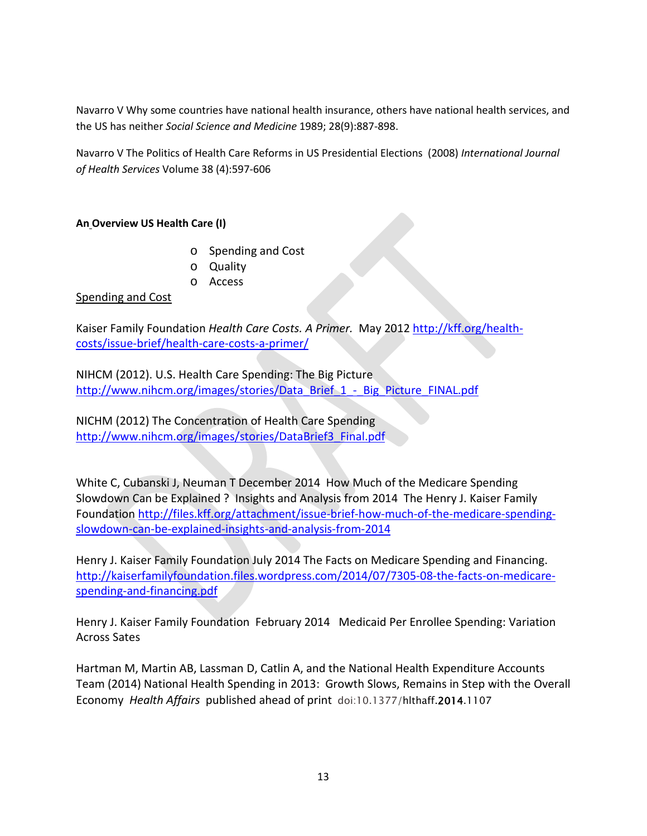Navarro V Why some countries have national health insurance, others have national health services, and the US has neither *Social Science and Medicine* 1989; 28(9):887-898.

Navarro V The Politics of Health Care Reforms in US Presidential Elections (2008) *International Journal of Health Services* Volume 38 (4):597-606

# **An Overview US Health Care (I)**

- o Spending and Cost
- o Quality
- o Access

# Spending and Cost

Kaiser Family Foundation *Health Care Costs. A Primer.* May 201[2 http://kff.org/health](http://kff.org/health-costs/issue-brief/health-care-costs-a-primer/)[costs/issue-brief/health-care-costs-a-primer/](http://kff.org/health-costs/issue-brief/health-care-costs-a-primer/)

NIHCM (2012). U.S. Health Care Spending: The Big Picture [http://www.nihcm.org/images/stories/Data\\_Brief\\_1\\_-\\_Big\\_Picture\\_FINAL.pdf](http://www.nihcm.org/images/stories/Data_Brief_1_-_Big_Picture_FINAL.pdf)

NICHM (2012) The Concentration of Health Care Spending [http://www.nihcm.org/images/stories/DataBrief3\\_Final.pdf](http://www.nihcm.org/images/stories/DataBrief3_Final.pdf)

White C, Cubanski J, Neuman T December 2014 How Much of the Medicare Spending Slowdown Can be Explained ? Insights and Analysis from 2014 The Henry J. Kaiser Family Foundation [http://files.kff.org/attachment/issue-brief-how-much-of-the-medicare-spending](http://files.kff.org/attachment/issue-brief-how-much-of-the-medicare-spending-slowdown-can-be-explained-insights-and-analysis-from-2014)[slowdown-can-be-explained-insights-and-analysis-from-2014](http://files.kff.org/attachment/issue-brief-how-much-of-the-medicare-spending-slowdown-can-be-explained-insights-and-analysis-from-2014)

Henry J. Kaiser Family Foundation July 2014 The Facts on Medicare Spending and Financing. [http://kaiserfamilyfoundation.files.wordpress.com/2014/07/7305-08-the-facts-on-medicare](http://kaiserfamilyfoundation.files.wordpress.com/2014/07/7305-08-the-facts-on-medicare-spending-and-financing.pdf)[spending-and-financing.pdf](http://kaiserfamilyfoundation.files.wordpress.com/2014/07/7305-08-the-facts-on-medicare-spending-and-financing.pdf)

Henry J. Kaiser Family Foundation February 2014 Medicaid Per Enrollee Spending: Variation Across Sates

Hartman M, Martin AB, Lassman D, Catlin A, and the National Health Expenditure Accounts Team (2014) National Health Spending in 2013: Growth Slows, Remains in Step with the Overall Economy *Health Affairs* published ahead of print doi:10.1377/hlthaff.2014.1107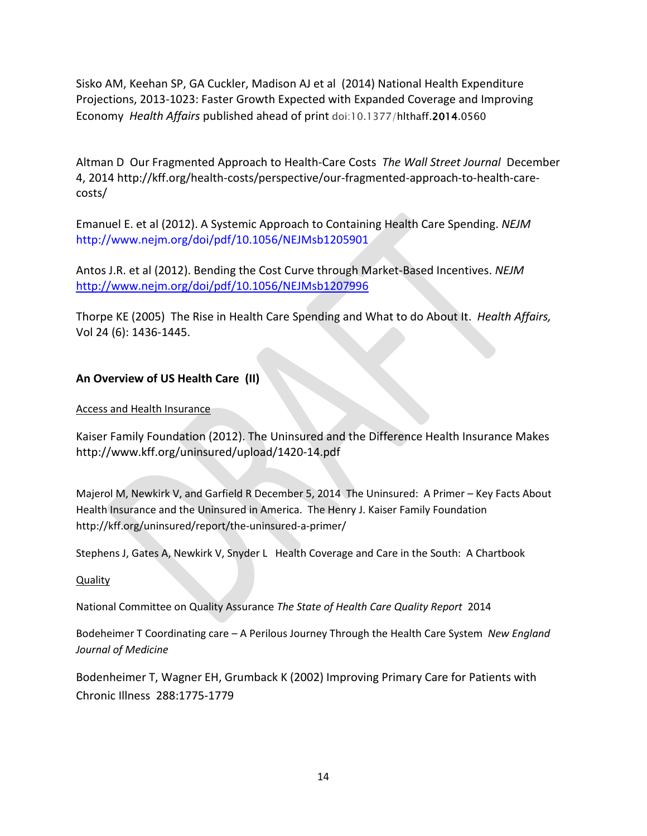Sisko AM, Keehan SP, GA Cuckler, Madison AJ et al (2014) National Health Expenditure Projections, 2013-1023: Faster Growth Expected with Expanded Coverage and Improving Economy *Health Affairs* published ahead of print doi:10.1377/hlthaff.2014.0560

Altman D Our Fragmented Approach to Health-Care Costs *The Wall Street Journal* December 4, 2014 http://kff.org/health-costs/perspective/our-fragmented-approach-to-health-carecosts/

Emanuel E. et al (2012). A Systemic Approach to Containing Health Care Spending. *NEJM*  http://www.nejm.org/doi/pdf/10.1056/NEJMsb1205901

Antos J.R. et al (2012). Bending the Cost Curve through Market-Based Incentives. *NEJM* <http://www.nejm.org/doi/pdf/10.1056/NEJMsb1207996>

Thorpe KE (2005) The Rise in Health Care Spending and What to do About It. *Health Affairs,* Vol 24 (6): 1436-1445.

# **An Overview of US Health Care (II)**

# Access and Health Insurance

Kaiser Family Foundation (2012). The Uninsured and the Difference Health Insurance Makes http://www.kff.org/uninsured/upload/1420-14.pdf

Majerol M, Newkirk V, and Garfield R December 5, 2014 The Uninsured: A Primer – Key Facts About Health Insurance and the Uninsured in America. The Henry J. Kaiser Family Foundation http://kff.org/uninsured/report/the-uninsured-a-primer/

Stephens J, Gates A, Newkirk V, Snyder L Health Coverage and Care in the South: A Chartbook

# **Quality**

National Committee on Quality Assurance *The State of Health Care Quality Report* 2014

Bodeheimer T Coordinating care – A Perilous Journey Through the Health Care System *New England Journal of Medicine* 

Bodenheimer T, Wagner EH, Grumback K (2002) Improving Primary Care for Patients with Chronic Illness 288:1775-1779